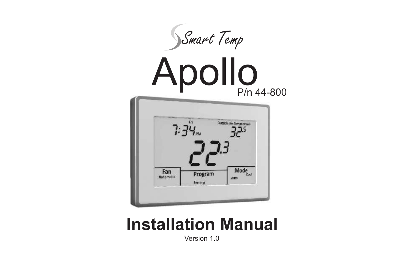

# **Installation Manual**

Version 1.0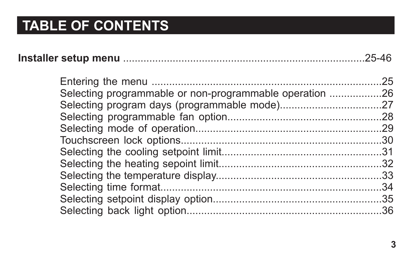|                                                         | .25 |
|---------------------------------------------------------|-----|
| Selecting programmable or non-programmable operation 26 |     |
|                                                         |     |
|                                                         |     |
|                                                         |     |
|                                                         |     |
|                                                         |     |
|                                                         |     |
|                                                         |     |
|                                                         |     |
|                                                         |     |
|                                                         |     |
|                                                         |     |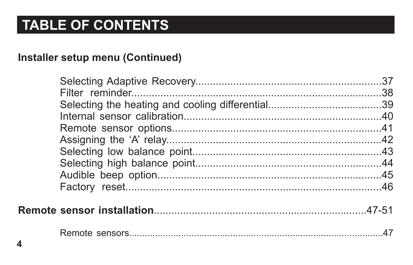#### Installer setup menu (Continued)

|--|--|--|--|

|--|--|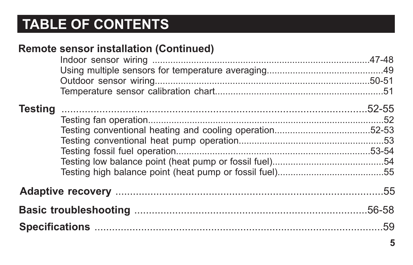| <b>Testing</b> | <b>Remote sensor installation (Continued)</b> |  |
|----------------|-----------------------------------------------|--|
|                |                                               |  |
|                |                                               |  |
|                |                                               |  |
|                |                                               |  |
|                |                                               |  |
|                |                                               |  |
|                |                                               |  |
|                |                                               |  |
|                |                                               |  |
|                |                                               |  |
|                |                                               |  |
|                |                                               |  |
|                |                                               |  |
|                |                                               |  |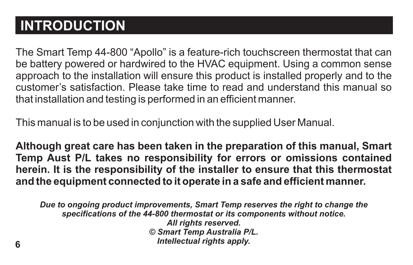## **INTRODUCTION**

The Smart Temp 44-800 "Apollo" is a feature-rich touchscreen thermostat that can be battery powered or hardwired to the HVAC equipment. Using a common sense approach to the installation will ensure this product is installed properly and to the customer's satisfaction. Please take time to read and understand this manual so that installation and testing is performed in an efficient manner.

This manual is to be used in conjunction with the supplied User Manual.

**Although great care has been taken in the preparation of this manual, Smart Temp Aust P/L takes no responsibility for errors or omissions contained herein. It is the responsibility of the installer to ensure that this thermostat and the equipment connected to it operate in a safe and efficient manner.**

*Due to ongoing product improvements, Smart Temp reserves the right to change the specifications of the 44-800 thermostat or its components without notice. All rights reserved. © Smart Temp Australia P/L. Intellectual rights apply.*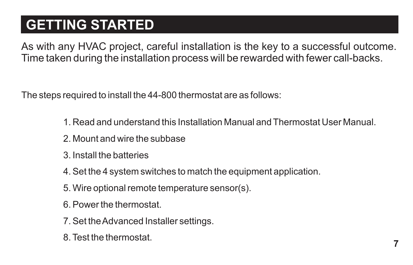## **GETTING STARTED**

As with any HVAC project, careful installation is the key to a successful outcome. Time taken during the installation process will be rewarded with fewer call-backs.

The steps required to install the 44-800 thermostat are as follows:

1. Read and understand this Installation Manual and Thermostat User Manual.

**7**

- 2. Mount and wire the subbase
- 3. Install the batteries
- 4. Set the 4 system switches to match the equipment application.
- 5. Wire optional remote temperature sensor(s).
- 6. Power the thermostat.
- 7. Set the Advanced Installer settings.
- 8. Test the thermostat.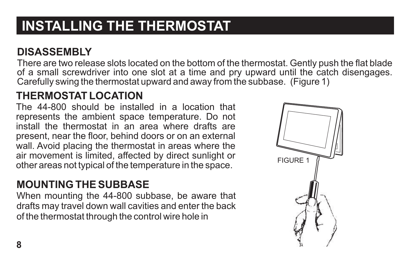## **INSTALLING THE THERMOSTAT**

#### **DISASSEMBLY**

There are two release slots located on the bottom of the thermostat. Gently push the flat blade of a small screwdriver into one slot at a time and pry upward until the catch disengages. Carefully swing the thermostat upward and away from the subbase. (Figure 1)

#### **THERMOSTAT LOCATION**

The 44-800 should be installed in a location that represents the ambient space temperature. Do not install the thermostat in an area where drafts are present, near the floor, behind doors or on an external wall. Avoid placing the thermostat in areas where the air movement is limited, affected by direct sunlight or other areas not typical of the temperature in the space.

#### **MOUNTING THE SUBBASE**

When mounting the 44-800 subbase, be aware that drafts may travel down wall cavities and enter the back of the thermostat through the control wire hole in

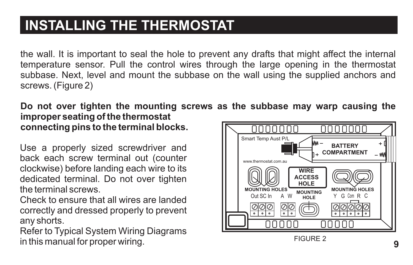## **INSTALLING THE THERMOSTAT**

the wall. It is important to seal the hole to prevent any drafts that might affect the internal temperature sensor. Pull the control wires through the large opening in the thermostat subbase. Next, level and mount the subbase on the wall using the supplied anchors and screws. (Figure 2)

**Do not over tighten the mounting screws as the subbase may warp causing the improper seating of the thermostat connecting pins to the terminal blocks.** nnnnnn nnnnnn

Use a properly sized screwdriver and back each screw terminal out (counter clockwise) before landing each wire to its dedicated terminal. Do not over tighten the terminal screws.

Check to ensure that all wires are landed correctly and dressed properly to prevent any shorts.

Refer to Typical System Wiring Diagrams in this manual for proper wiring. FIGURE 2



**9**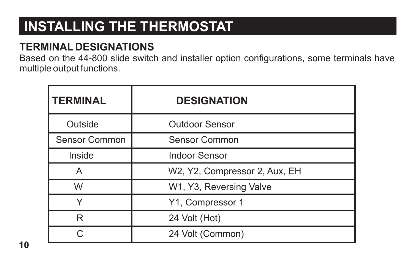## **INSTALLING THE THERMOSTAT**

#### **TERMINAL DESIGNATIONS**

Based on the 44-800 slide switch and installer option configurations, some terminals have multiple output functions.

| <b>TERMINAL</b> | <b>DESIGNATION</b>            |
|-----------------|-------------------------------|
| Outside         | Outdoor Sensor                |
| Sensor Common   | Sensor Common                 |
| Inside          | Indoor Sensor                 |
| А               | W2, Y2, Compressor 2, Aux, EH |
| W               | W1, Y3, Reversing Valve       |
| Υ               | Y1, Compressor 1              |
| R               | 24 Volt (Hot)                 |
| ◠               | 24 Volt (Common)              |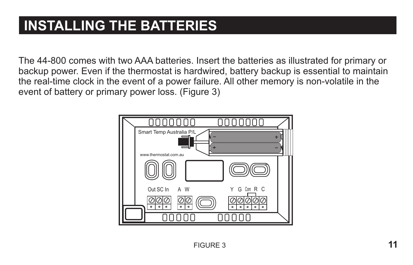## **INSTALLING THE BATTERIES**

The 44-800 comes with two AAA batteries. Insert the batteries as illustrated for primary or backup power. Even if the thermostat is hardwired, battery backup is essential to maintain the real-time clock in the event of a power failure. All other memory is non-volatile in the event of battery or primary power loss. (Figure 3)

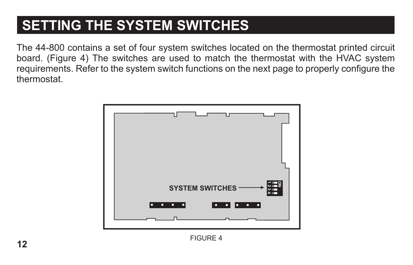## **SETTING THE SYSTEM SWITCHES**

The 44-800 contains a set of four system switches located on the thermostat printed circuit board. (Figure 4) The switches are used to match the thermostat with the HVAC system requirements. Refer to the system switch functions on the next page to properly configure the thermostat.

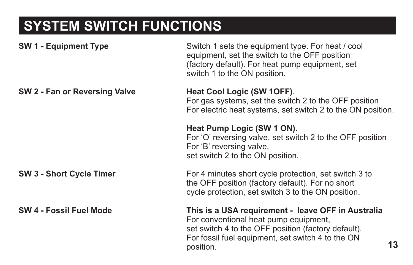# **SYSTEM SWITCH FUNCTIONS**

| <b>SW 1 - Equipment Type</b>    | Switch 1 sets the equipment type. For heat / cool<br>equipment, set the switch to the OFF position<br>(factory default). For heat pump equipment, set<br>switch 1 to the ON position.                                      |
|---------------------------------|----------------------------------------------------------------------------------------------------------------------------------------------------------------------------------------------------------------------------|
| SW 2 - Fan or Reversing Valve   | Heat Cool Logic (SW 1OFF).<br>For gas systems, set the switch 2 to the OFF position<br>For electric heat systems, set switch 2 to the ON position.                                                                         |
|                                 | Heat Pump Logic (SW 1 ON).<br>For 'O' reversing valve, set switch 2 to the OFF position<br>For 'B' reversing valve,<br>set switch 2 to the ON position.                                                                    |
| <b>SW 3 - Short Cycle Timer</b> | For 4 minutes short cycle protection, set switch 3 to<br>the OFF position (factory default). For no short<br>cycle protection, set switch 3 to the ON position.                                                            |
| SW 4 - Fossil Fuel Mode         | This is a USA requirement - leave OFF in Australia<br>For conventional heat pump equipment,<br>set switch 4 to the OFF position (factory default).<br>For fossil fuel equipment, set switch 4 to the ON<br>13<br>position. |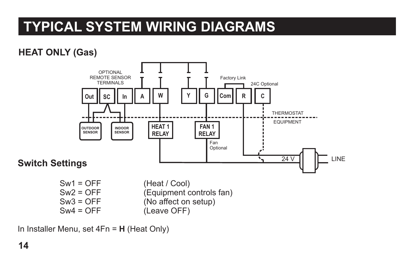#### **HEAT ONLY (Gas)**



 $Sw2 = OFF$  (Equipment controls fan)<br>  $Sw3 = OFF$  (No affect on setup)  $Sw3 = OFF$  (No affect on setup)<br> $Sw4 = OFF$  (Leave OFF) (Leave OFF)

In Installer Menu, set 4Fn = **H** (Heat Only)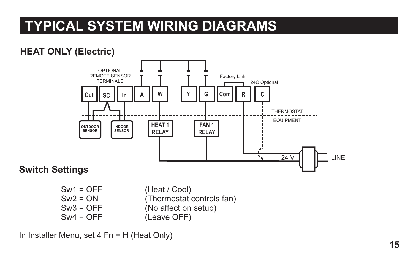#### **HEAT ONLY (Electric)**



 $Sw1 = OFF$  (Heat / Cool)<br> $Sw2 = ON$  (Thermostat)  $Sw2 = ON$  (Thermostat controls fan)<br> $Sw3 = OFF$  (No affect on setup)  $Sw3 = OFF$  (No affect on setup)<br> $Sw4 = OFF$  (Leave OFF) (Leave OFF)

In Installer Menu, set 4 Fn = **H** (Heat Only)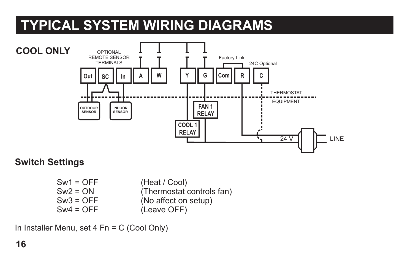

**Switch Settings**

Sw1 = OFF (Heat / Cool)<br>Sw2 = ON (Thermostat)  $Sw2 = ON$  (Thermostat controls fan)<br> $Sw3 = OFF$  (No affect on setup)  $Sw3 = OFF$  (No affect on setup)<br> $Sw4 = OFF$  (Leave OFF)  $(Leave OFF)$ 

In Installer Menu, set 4 Fn = C (Cool Only)

**16**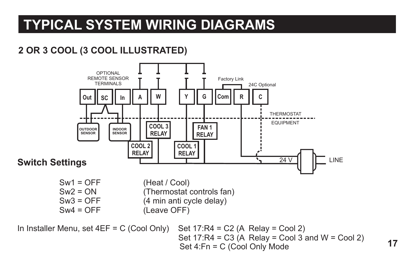#### **2 OR 3 COOL (3 COOL ILLUSTRATED)**

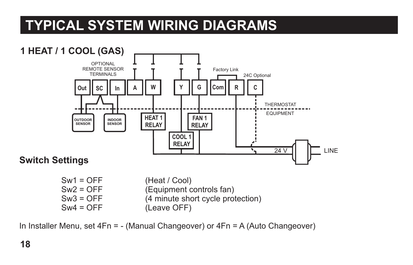

(Leave OFF)

In Installer Menu, set 4Fn = - (Manual Changeover) or 4Fn = A (Auto Changeover)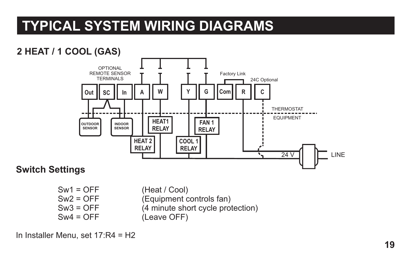#### **2 HEAT / 1 COOL (GAS)**



#### **Switch Settings**

Sw1 = OFF (Heat / Cool)<br>Sw2 = OFF (Equipment of (Equipment controls fan)  $Sw3 = OFF$  (4 minute short cycle protection)<br> $Sw4 = OFF$  (Leave OFF) (Leave OFF)

#### In Installer Menu, set 17:R4 = H2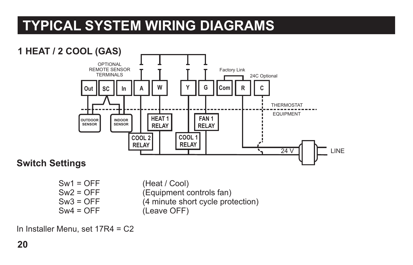

| $Sw1 = OFF$ | (Heat / Cool)                     |
|-------------|-----------------------------------|
| Sw2 = OFF   | (Equipment controls fan)          |
| $Sw3 = OFF$ | (4 minute short cycle protection) |
| Sw4 = OFF   | (Leave OFF)                       |

In Installer Menu, set 17R4 = C2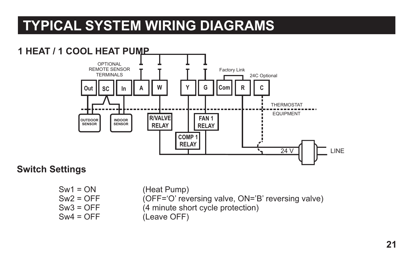#### **1 HEAT / 1 COOL HEAT PUMP SC In A Y G Com R C COMP 1 RELAY R/VALVE RELAY FAN 1 RELAY**  $24 \text{V}$   $\Box$  LINE **Out || SC || In || A || W** OPTIONAL REMOTE SENSOR TERMINIAL C THERMOSTAT EQUIPMENT Factory Link 24C Optional **OUTDOOR SENSOR INDOOR SENSOR**

#### **Switch Settings**

- 
- Sw1 = ON (Heat Pump)<br>Sw2 = OFF (OFF='O' rev (OFF='O' reversing valve, ON='B' reversing valve)  $Sw3 = OFF$  (4 minute short cycle protection)<br> $Sw4 = OFF$  (Leave OFF)
	- $(Leave OFF)$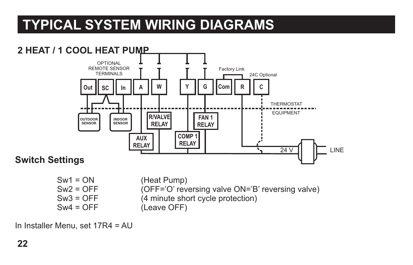

- Sw4 = OFF (Leave OFF)
- $Sw2 = OFF$  (OFF='O' reversing valve ON='B' reversing valve)<br>Sw3 = OFF (4 minute short cycle protection)  $(4 \text{ minute short cycle protection})$

In Installer Menu, set 17R4 = AU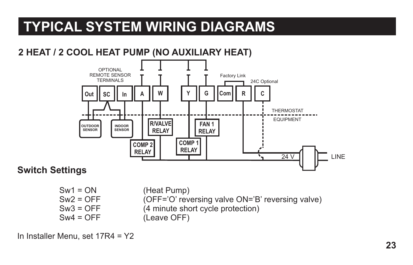#### **2 HEAT / 2 COOL HEAT PUMP (NO AUXILIARY HEAT)**



#### **Switch Settings**

Sw1 = ON (Heat Pump)<br>Sw2 = OFF (OFF='O' rev  $Sw2 = OFF$  (OFF='O' reversing valve ON='B' reversing valve)<br>Sw3 = OFF (4 minute short cycle protection)  $Sw3 = OFF$  (4 minute short cycle protection)<br> $Sw4 = OFF$  (Leave OFF) (Leave OFF)

In Installer Menu, set 17R4 = Y2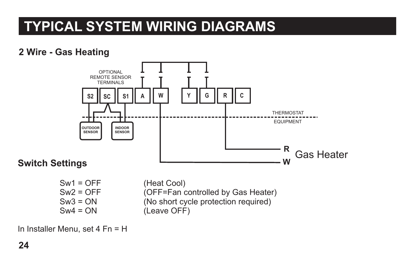#### **2 Wire - Gas Heating**



#### **Switch Settings**

Sw1 = OFF (Heat Cool)<br>Sw2 = OFF (OFF=Fan c

 $Sw2 = OFF$  (OFF=Fan controlled by Gas Heater)<br>Sw3 = ON (No short cycle protection required)  $Sw3 = ON$  (No short cycle protection required)<br> $Sw4 = ON$  (Leave OFF) (Leave OFF)

In Installer Menu, set 4 Fn = H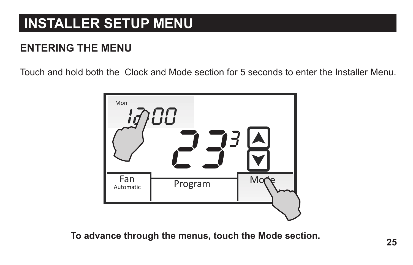#### **ENTERING THE MENU**

Touch and hold both the Clock and Mode section for 5 seconds to enter the Installer Menu.



**To advance through the menus, touch the Mode section.**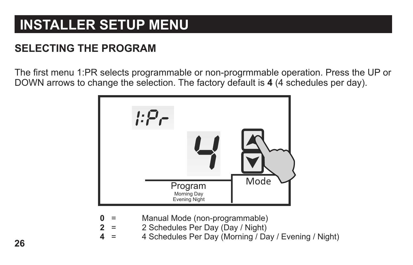#### **SELECTING THE PROGRAM**

The first menu 1:PR selects programmable or non-progrmmable operation. Press the UP or DOWN arrows to change the selection. The factory default is **4** (4 schedules per day).



- **0**  Manual Mode (non-programmable)
	- = 2 Schedules Per Day (Day / Night)
- **2 4**  = 4 Schedules Per Day (Morning / Day / Evening / Night)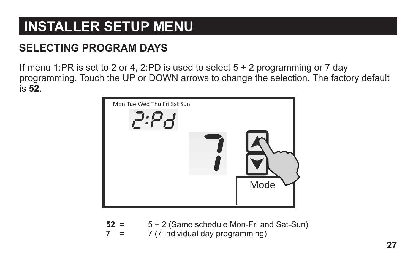#### **SELECTING PROGRAM DAYS**

If menu 1:PR is set to 2 or 4, 2:PD is used to select  $5 + 2$  programming or 7 day programming. Touch the UP or DOWN arrows to change the selection. The factory default is **52**.



| $52 =$ | 5 + 2 (Same schedule Mon-Fri and Sat-Sun) |
|--------|-------------------------------------------|
| $=$    | 7 (7 individual day programming)          |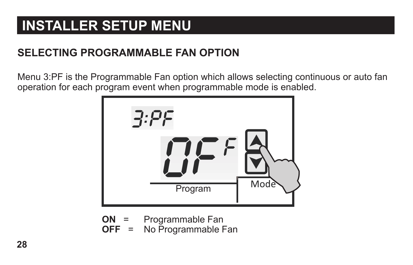#### **SELECTING PROGRAMMABLE FAN OPTION**

Menu 3:PF is the Programmable Fan option which allows selecting continuous or auto fan operation for each program event when programmable mode is enabled.



- **ON** = Programmable Fan
- $OFF =$ Programmable Fan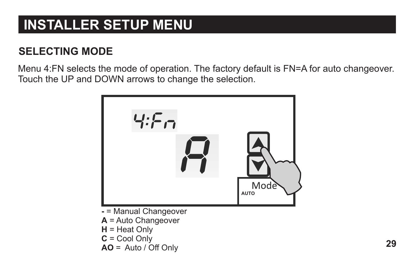#### **SELECTING MODE**

Menu 4:FN selects the mode of operation. The factory default is FN=A for auto changeover. Touch the UP and DOWN arrows to change the selection.



- = Manual Changeover
- **A** = Auto Changeover
- **H** = Heat Only
- **C** = Cool Only
- $AO = Auto / Off Only$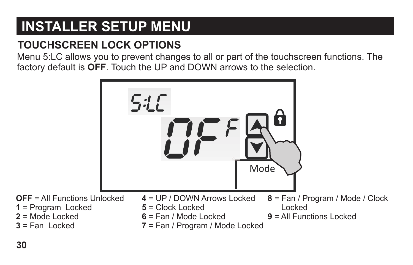#### **TOUCHSCREEN LOCK OPTIONS**

Menu 5:LC allows you to prevent changes to all or part of the touchscreen functions. The factory default is OFF. Touch the UP and DOWN arrows to the selection.

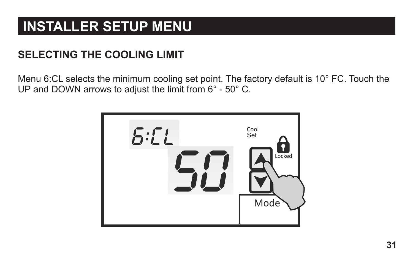#### **SELECTING THE COOLING LIMIT**

Menu 6:CL selects the minimum cooling set point. The factory default is 10° FC. Touch the UP and DOWN arrows to adjust the limit from 6° - 50° C.

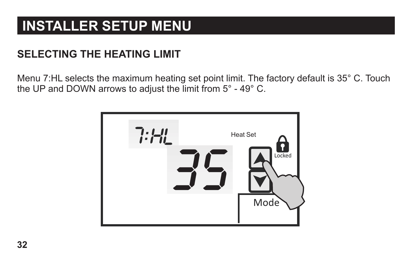#### **SELECTING THE HEATING LIMIT**

Menu 7:HL selects the maximum heating set point limit. The factory default is 35° C. Touch the UP and DOWN arrows to adjust the limit from 5° - 49° C.

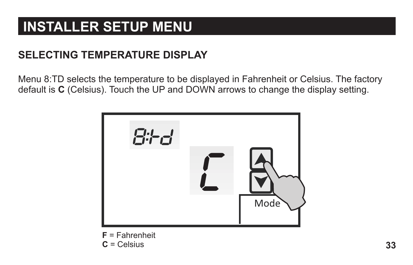#### **SELECTING TEMPERATURE DISPLAY**

Menu 8:TD selects the temperature to be displayed in Fahrenheit or Celsius. The factory default is **C** (Celsius). Touch the UP and DOWN arrows to change the display setting.



**F** = Fahrenheit **C** = Celsius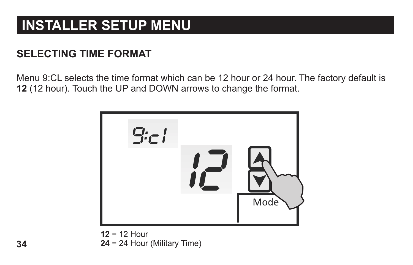#### **SELECTING TIME FORMAT**

Menu 9:CL selects the time format which can be 12 hour or 24 hour. The factory default is **12** (12 hour). Touch the UP and DOWN arrows to change the format.



**12** = 12 Hour **24** = 24 Hour (Military Time)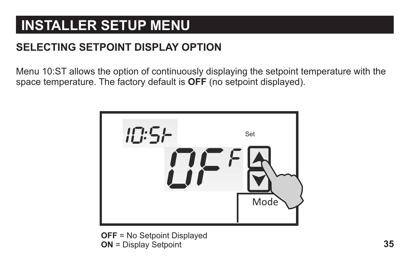#### **SELECTING SETPOINT DISPLAY OPTION**

Menu 10:ST allows the option of continuously displaying the setpoint temperature with the space temperature. The factory default is **OFF** (no setpoint displayed).



**OFF** = No Setpoint Displayed **ON** = Display Setpoint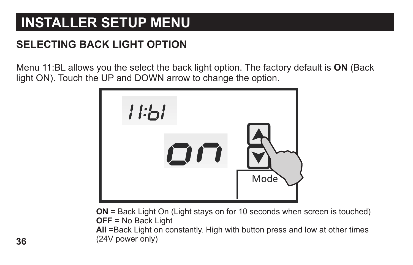#### **SELECTING BACK LIGHT OPTION**

Menu 11:BL allows you the select the back light option. The factory default is **ON** (Back light ON). Touch the UP and DOWN arrow to change the option.



**ON** = Back Light On (Light stays on for 10 seconds when screen is touched) **OFF** = No Back Light

(24V power only) All =Back Light on constantly. High with button press and low at other times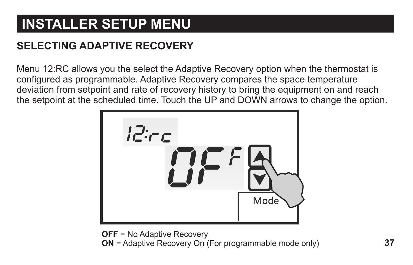#### **SELECTING ADAPTIVE RECOVERY**

Menu 12:RC allows you the select the Adaptive Recovery option when the thermostat is configured as programmable. Adaptive Recovery compares the space temperature deviation from setpoint and rate of recovery history to bring the equipment on and reach the setpoint at the scheduled time. Touch the UP and DOWN arrows to change the option.



**ON** = Adaptive Recovery On (For programmable mode only) **OFF** = No Adaptive Recovery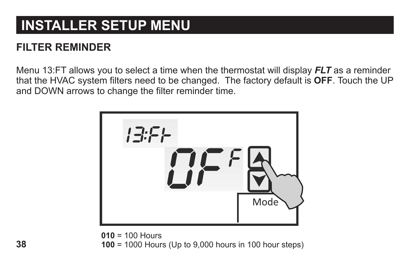#### **FILTER REMINDER**

Menu 13:FT allows you to select a time when the thermostat will display *FLT* as a reminder that the HVAC system filters need to be changed. The factory default is **OFF**. Touch the UP and DOWN arrows to change the filter reminder time.



**010** = 100 Hours **100** = 1000 Hours (Up to 9,000 hours in 100 hour steps)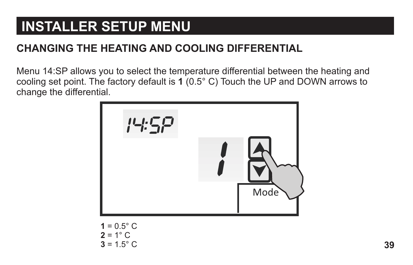#### **CHANGING THE HEATING AND COOLING DIFFERENTIAL**

Menu 14:SP allows you to select the temperature differential between the heating and cooling set point. The factory default is **1** (0.5° C) Touch the UP and DOWN arrows to change the dif ferential.



 $1 = 0.5^{\circ} \text{ C}$  $2 = 1^\circ$  C  $3 = 1.5^{\circ} \text{ C}$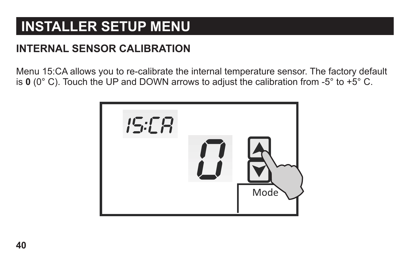#### **INTERNAL SENSOR CALIBRATION**

Menu 15:CA allows you to re-calibrate the internal temperature sensor. The factory default is **0** (0° C). Touch the UP and DOWN arrows to adjust the calibration from -5° to +5° C.

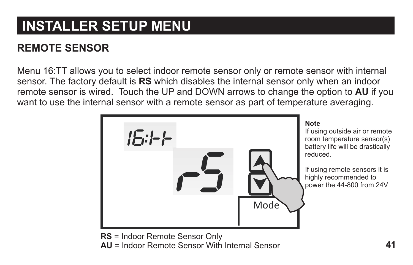#### **REMOTE SENSOR**

Menu 16:TT allows you to select indoor remote sensor only or remote sensor with internal sensor. The factory default is **RS** which disables the internal sensor only when an indoor remote sensor is wired. Touch the UP and DOWN arrows to change the option to **AU** if you want to use the internal sensor with a remote sensor as part of temperature averaging.



**AU** = Indoor Remote Sensor With Internal Sensor **RS** = Indoor Remote Sensor Only

If using outside air or remote room temperature sensor(s) battery life will be drastically reduced.

If using remote sensors it is highly recommended to power the 44-800 from 24V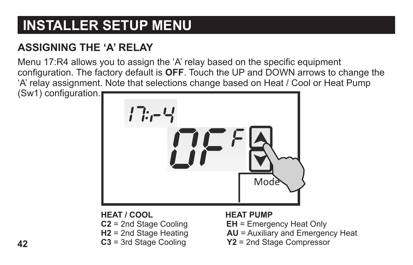#### **ASSIGNING THE 'A' RELAY**

Menu 17:R4 allows you to assign the 'A' relay based on the specific equipment configuration. The factory default is **OFF**. Touch the UP and DOWN arrows to change the 'A' relay assignment. Note that selections change based on Heat / Cool or Heat Pump (Sw1) configuration.



**HEA T / COOL**

- **C2** = 2nd Stage Cooling
- **H2** = 2nd Stage Heating
- **C3** = 3rd Stage Cooling

#### **The Structure HEAT PUMP**

- **EH** = Emergency Heat Only
- **AU** = Auxiliary and Emergency Heat
- **Y2** = 2nd Stage Compressor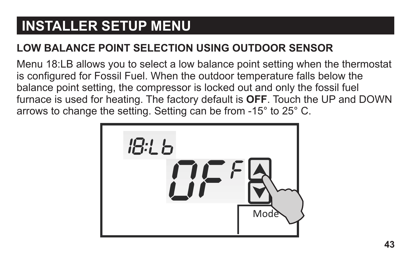#### **LOW BALANCE POINT SELECTION USING OUTDOOR SENSOR**

Menu 18:LB allows you to select a low balance point setting when the thermostat is configured for Fossil Fuel. When the outdoor temperature falls below the balance point setting, the compressor is locked out and only the fossil fuel furnace is used for heating. The factory default is **OFF**. Touch the UP and DOWN arrows to change the setting. Setting can be from -15° to 25° C.

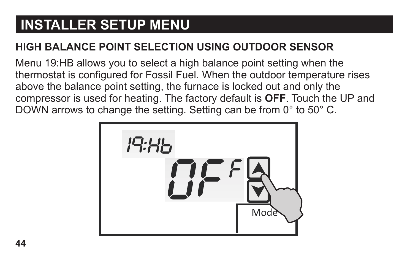#### **HIGH BALANCE POINT SELECTION USING OUTDOOR SENSOR**

Menu 19:HB allows you to select a high balance point setting when the thermostat is configured for Fossil Fuel. When the outdoor temperature rises above the balance point setting, the furnace is locked out and only the compressor is used for heating. The factory default is **OFF**. Touch the UP and DOWN arrows to change the setting. Setting can be from 0° to 50° C.

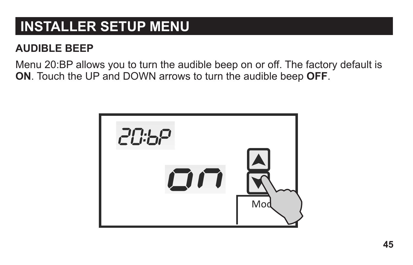#### **AUDIBLE BEEP**

Menu 20:BP allows you to turn the audible beep on or off. The factory default is **ON**. Touch the UP and DOWN arrows to turn the audible beep **OFF**.

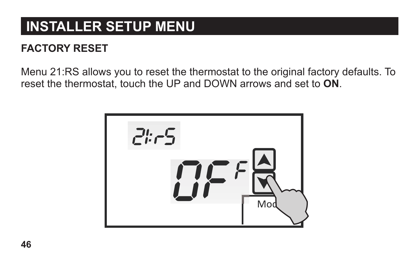#### **FACTORY RESET**

Menu 21:RS allows you to reset the thermostat to the original factory defaults. To reset the thermostat, touch the UP and DOWN arrows and set to **ON**.

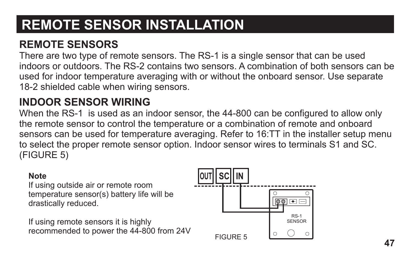#### **REMOTE SENSORS**

There are two type of remote sensors. The RS-1 is a single sensor that can be used indoors or outdoors. The RS-2 contains two sensors. A combination of both sensors can be used for indoor temperature averaging with or without the onboard sensor. Use separate 18-2 shielded cable when wiring sensors.

#### **INDOOR SENSOR WIRING**

When the RS-1 is used as an indoor sensor, the 44-800 can be configured to allow only the remote sensor to control the temperature or a combination of remote and onboard sensors can be used for temperature averaging. Refer to 16:TT in the installer setup menu to select the proper remote sensor option. Indoor sensor wires to terminals S1 and SC. (FIGURE 5)

#### **Note**

If using outside air or remote room temperature sensor(s) battery life will be drastically reduced.

If using remote sensors it is highly recommended to power the 44-800 from 24V

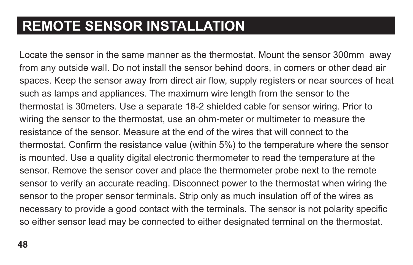Locate the sensor in the same manner as the thermostat. Mount the sensor 300mm away from any outside wall. Do not install the sensor behind doors, in corners or other dead air spaces. Keep the sensor away from direct air flow, supply registers or near sources of heat such as lamps and appliances. The maximum wire length from the sensor to the thermostat is 30meters. Use a separate 18-2 shielded cable for sensor wiring. Prior to wiring the sensor to the thermostat, use an ohm-meter or multimeter to measure the resistance of the sensor. Measure at the end of the wires that will connect to the thermostat. Confirm the resistance value (within 5%) to the temperature where the sensor is mounted. Use a quality digital electronic thermometer to read the temperature at the sensor. Remove the sensor cover and place the thermometer probe next to the remote sensor to verify an accurate reading. Disconnect power to the thermostat when wiring the sensor to the proper sensor terminals. Strip only as much insulation off of the wires as necessary to provide a good contact with the terminals. The sensor is not polarity specific so either sensor lead may be connected to either designated terminal on the thermostat.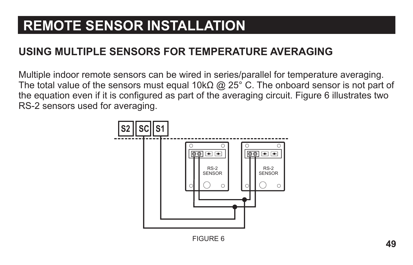#### **USING MULTIPLE SENSORS FOR TEMPERATURE AVERAGING**

Multiple indoor remote sensors can be wired in series/parallel for temperature averaging. The total value of the sensors must equal 10k $\Omega$  @ 25° C. The onboard sensor is not part of the equation even if it is configured as part of the averaging circuit. Figure 6 illustrates two RS-2 sensors used for averaging.

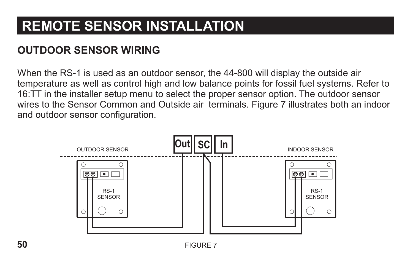#### **OUTDOOR SENSOR WIRING**

When the RS-1 is used as an outdoor sensor, the 44-800 will display the outside air temperature as well as control high and low balance points for fossil fuel systems. Refer to 16:TT in the installer setup menu to select the proper sensor option. The outdoor sensor wires to the Sensor Common and Outside air terminals. Figure 7 illustrates both an indoor and outdoor sensor configuration.

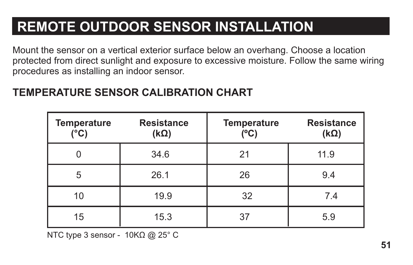# **REMOTE OUTDOOR SENSOR INSTALLATION**

Mount the sensor on a vertical exterior surface below an overhang. Choose a location protected from direct sunlight and exposure to excessive moisture. Follow the same wiring procedures as installing an indoor sensor.

| <b>Temperature</b><br>(°C) | <b>Resistance</b><br>$(k\Omega)$ | <b>Temperature</b><br>(°C) | <b>Resistance</b><br>$(k\Omega)$ |
|----------------------------|----------------------------------|----------------------------|----------------------------------|
|                            | 34.6                             | 21                         | 11.9                             |
| 5                          | 26.1                             | 26                         | 9.4                              |
| 10                         | 19.9                             | 32                         | 7.4                              |
| 15                         | 15.3                             | 37                         | 5.9                              |

#### **TEMPERATURE SENSOR CALIBRATION CHART**

NTC type 3 sensor -  $10K\Omega$  @ 25° C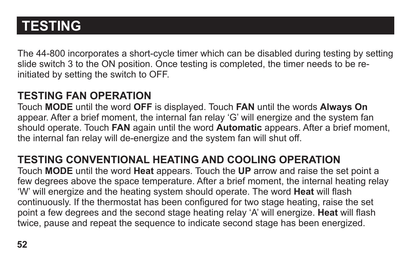The 44-800 incorporates a short-cycle timer which can be disabled during testing by setting slide switch 3 to the ON position. Once testing is completed, the timer needs to be reinitiated by setting the switch to OFF.

#### **TESTING FAN OPERATION**

Touch **MODE** until the word **OFF** is displayed. Touch **FAN** until the words **Always On**  appear. After a brief moment, the internal fan relay 'G' will energize and the system fan should operate. Touch **FAN** again until the word **Automatic** appears. After a brief moment, the internal fan relay will de-energize and the system fan will shut off.

#### **TESTING CONVENTIONAL HEATING AND COOLING OPERATION**

Touch **MODE** until the word **Heat** appears. Touch the **UP** arrow and raise the set point a few degrees above the space temperature. After a brief moment, the internal heating relay 'W' will energize and the heating system should operate. The word **Heat** will flash continuously. If the thermostat has been configured for two stage heating, raise the set point a few degrees and the second stage heating relay 'A' will energize. **Heat** will flash twice, pause and repeat the sequence to indicate second stage has been energized.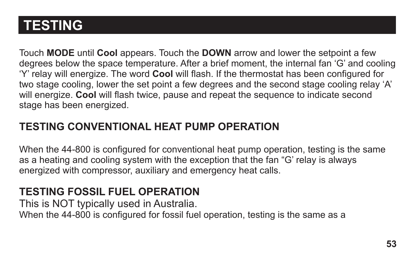Touch **MODE** until **Cool** appears. Touch the **DOWN** arrow and lower the setpoint a few degrees below the space temperature. After a brief moment, the internal fan 'G' and cooling 'Y' relay will energize. The word **Cool** will flash. If the thermostat has been configured for two stage cooling, lower the set point a few degrees and the second stage cooling relay 'A' will energize. **Cool** will flash twice, pause and repeat the sequence to indicate second stage has been energized.

#### **TESTING CONVENTIONAL HEAT PUMP OPERATION**

When the 44-800 is configured for conventional heat pump operation, testing is the same as a heating and cooling system with the exception that the fan "G' relay is always energized with compressor, auxiliary and emergency heat calls.

#### **TESTING FOSSIL FUEL OPERATION**

This is NOT typically used in Australia. When the 44-800 is configured for fossil fuel operation, testing is the same as a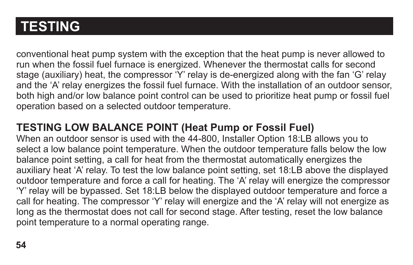conventional heat pump system with the exception that the heat pump is never allowed to run when the fossil fuel furnace is energized. Whenever the thermostat calls for second stage (auxiliary) heat, the compressor 'Y' relay is de-energized along with the fan 'G' relay and the 'A' relay energizes the fossil fuel furnace. With the installation of an outdoor sensor, both high and/or low balance point control can be used to prioritize heat pump or fossil fuel operation based on a selected outdoor temperature.

#### **TESTING LOW BALANCE POINT (Heat Pump or Fossil Fuel)**

When an outdoor sensor is used with the 44-800. Installer Option 18:LB allows you to select a low balance point temperature. When the outdoor temperature falls below the low balance point setting, a call for heat from the thermostat automatically energizes the auxiliary heat 'A' relay. To test the low balance point setting, set 18:LB above the displayed outdoor temperature and force a call for heating. The 'A' relay will energize the compressor 'Y' relay will be bypassed. Set 18:LB below the displayed outdoor temperature and force a call for heating. The compressor 'Y' relay will energize and the 'A' relay will not energize as long as the thermostat does not call for second stage. After testing, reset the low balance point temperature to a normal operating range.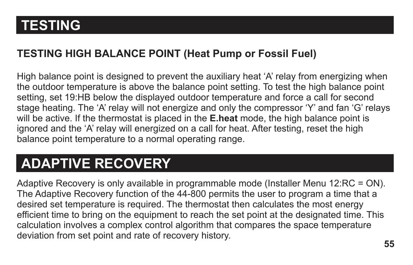#### **TESTING HIGH BALANCE POINT (Heat Pump or Fossil Fuel)**

High balance point is designed to prevent the auxiliary heat 'A' relay from energizing when the outdoor temperature is above the balance point setting. To test the high balance point setting, set 19:HB below the displayed outdoor temperature and force a call for second stage heating. The 'A' relay will not energize and only the compressor 'Y' and fan 'G' relays will be active. If the thermostat is placed in the **E.heat** mode, the high balance point is ignored and the 'A' relay will energized on a call for heat. After testing, reset the high balance point temperature to a normal operating range.

## **ADAPTIVE RECOVERY**

Adaptive Recovery is only available in programmable mode (Installer Menu 12:RC = ON). The Adaptive Recovery function of the 44-800 permits the user to program a time that a desired set temperature is required. The thermostat then calculates the most energy efficient time to bring on the equipment to reach the set point at the designated time. This calculation involves a complex control algorithm that compares the space temperature deviation from set point and rate of recovery history.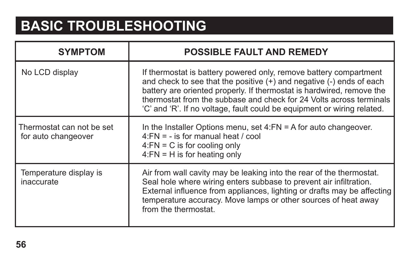# **BASIC TROUBLESHOOTING**

| <b>SYMPTOM</b>                                   | <b>POSSIBLE FAULT AND REMEDY</b>                                                                                                                                                                                                                                                                                                                                     |
|--------------------------------------------------|----------------------------------------------------------------------------------------------------------------------------------------------------------------------------------------------------------------------------------------------------------------------------------------------------------------------------------------------------------------------|
| No LCD display                                   | If thermostat is battery powered only, remove battery compartment<br>and check to see that the positive (+) and negative (-) ends of each<br>battery are oriented properly. If thermostat is hardwired, remove the<br>thermostat from the subbase and check for 24 Volts across terminals<br>'C' and 'R'. If no voltage, fault could be equipment or wiring related. |
| Thermostat can not be set<br>for auto changeover | In the Installer Options menu, set $4:FN = A$ for auto changeover.<br>$4:FN = -$ is for manual heat / cool<br>$4:FN = C$ is for cooling only<br>$4:FN = H$ is for heating only                                                                                                                                                                                       |
| Temperature display is<br>inaccurate             | Air from wall cavity may be leaking into the rear of the thermostat.<br>Seal hole where wiring enters subbase to prevent air infiltration.<br>External influence from appliances, lighting or drafts may be affecting<br>temperature accuracy. Move lamps or other sources of heat away<br>from the thermostat                                                       |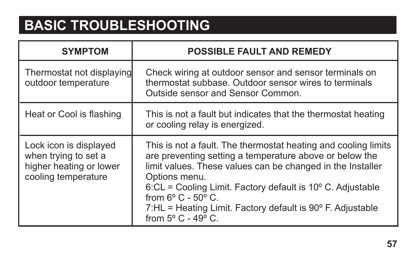## **BASIC TROUBLESHOOTING**

| <b>SYMPTOM</b>                                                                                   | <b>POSSIBLE FAULT AND REMEDY</b>                                                                                                                                                                                                                                                                                                                                                                                                   |
|--------------------------------------------------------------------------------------------------|------------------------------------------------------------------------------------------------------------------------------------------------------------------------------------------------------------------------------------------------------------------------------------------------------------------------------------------------------------------------------------------------------------------------------------|
| Thermostat not displaying<br>outdoor temperature                                                 | Check wiring at outdoor sensor and sensor terminals on<br>thermostat subbase. Outdoor sensor wires to terminals<br>Outside sensor and Sensor Common.                                                                                                                                                                                                                                                                               |
| Heat or Cool is flashing                                                                         | This is not a fault but indicates that the thermostat heating<br>or cooling relay is energized.                                                                                                                                                                                                                                                                                                                                    |
| Lock icon is displayed<br>when trying to set a<br>higher heating or lower<br>cooling temperature | This is not a fault. The thermostat heating and cooling limits<br>are preventing setting a temperature above or below the<br>limit values. These values can be changed in the Installer<br>Options menu.<br>$6$ :CL = Cooling Limit. Factory default is 10 $^{\circ}$ C. Adjustable<br>from $6^{\circ}$ C - $50^{\circ}$ C.<br>7:HL = Heating Limit. Factory default is 90° F. Adjustable<br>from $5^{\circ}$ C - 49 $^{\circ}$ C. |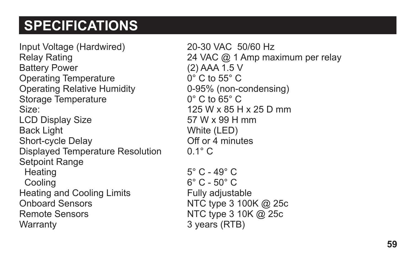## **SPECIFICATIONS**

Input Voltage (Hardwired) 20-30 VAC 50/60 Hz<br>Relay Rating 24 VAC @ 1 Amp ma Battery Power (2) AAA 1.5 V Operating Temperature **0°C** to 55°C Operating Relative Humidity 0-95% (non-condensing) Storage Temperature 0° C to 65° C Size: 125 W x 85 H x 25 D mm LCD Display Size 57 W x 99 H mm Back Light White (LED) Short-cycle Delay **Community** Off or 4 minutes Displayed Temperature Resolution 0.1° C Setpoint Range Heating 5° C - 49° C Cooling 6° C - 50° C Heating and Cooling Limits Fully adjustable Onboard Sensors NTC type 3 100K @ 25c Remote Sensors NTC type 3 10K @ 25c Warranty 3 years (RTB)

24 VAC  $@$  1 Amp maximum per relay